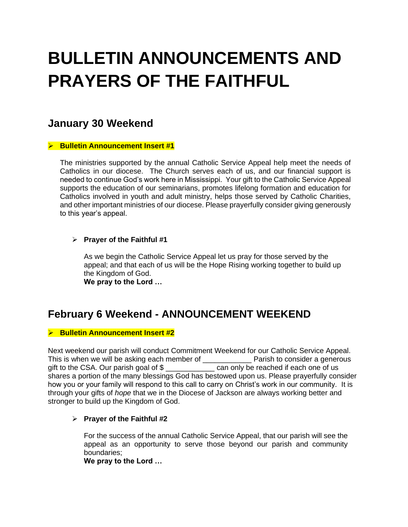# **BULLETIN ANNOUNCEMENTS AND PRAYERS OF THE FAITHFUL**

# **January 30 Weekend**

#### ➢ **Bulletin Announcement Insert #1**

The ministries supported by the annual Catholic Service Appeal help meet the needs of Catholics in our diocese. The Church serves each of us, and our financial support is needed to continue God's work here in Mississippi. Your gift to the Catholic Service Appeal supports the education of our seminarians, promotes lifelong formation and education for Catholics involved in youth and adult ministry, helps those served by Catholic Charities, and other important ministries of our diocese. Please prayerfully consider giving generously to this year's appeal.

### ➢ **Prayer of the Faithful #1**

As we begin the Catholic Service Appeal let us pray for those served by the appeal; and that each of us will be the Hope Rising working together to build up the Kingdom of God.

**We pray to the Lord …**

# **February 6 Weekend - ANNOUNCEMENT WEEKEND**

### ➢ **Bulletin Announcement Insert #2**

Next weekend our parish will conduct Commitment Weekend for our Catholic Service Appeal. This is when we will be asking each member of \_\_\_\_\_\_\_\_\_\_\_\_ Parish to consider a generous gift to the CSA. Our parish goal of \$ \_\_\_\_\_\_\_\_\_\_\_\_ can only be reached if each one of us shares a portion of the many blessings God has bestowed upon us. Please prayerfully consider how you or your family will respond to this call to carry on Christ's work in our community. It is through your gifts of *hope* that we in the Diocese of Jackson are always working better and stronger to build up the Kingdom of God.

### ➢ **Prayer of the Faithful #2**

For the success of the annual Catholic Service Appeal, that our parish will see the appeal as an opportunity to serve those beyond our parish and community boundaries;

**We pray to the Lord …**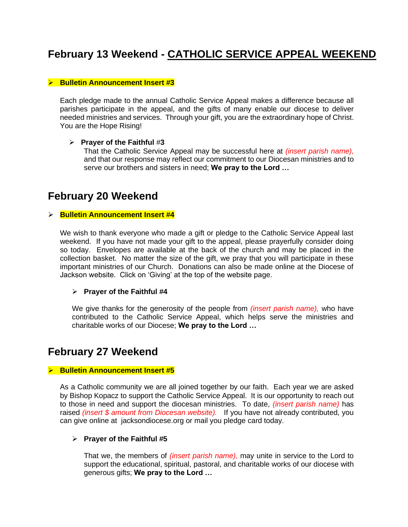# **February 13 Weekend - CATHOLIC SERVICE APPEAL WEEKEND**

#### ➢ **Bulletin Announcement Insert #3**

Each pledge made to the annual Catholic Service Appeal makes a difference because all parishes participate in the appeal, and the gifts of many enable our diocese to deliver needed ministries and services. Through your gift, you are the extraordinary hope of Christ. You are the Hope Rising!

#### ➢ **Prayer of the Faithful** #**3**

That the Catholic Service Appeal may be successful here at *(insert parish name),*  and that our response may reflect our commitment to our Diocesan ministries and to serve our brothers and sisters in need; **We pray to the Lord …**

# **February 20 Weekend**

#### ➢ **Bulletin Announcement Insert #4**

We wish to thank everyone who made a gift or pledge to the Catholic Service Appeal last weekend. If you have not made your gift to the appeal, please prayerfully consider doing so today. Envelopes are available at the back of the church and may be placed in the collection basket. No matter the size of the gift, we pray that you will participate in these important ministries of our Church. Donations can also be made online at the Diocese of Jackson website. Click on 'Giving' at the top of the website page.

#### ➢ **Prayer of the Faithful #4**

We give thanks for the generosity of the people from *(insert parish name),* who have contributed to the Catholic Service Appeal, which helps serve the ministries and charitable works of our Diocese; **We pray to the Lord …**

## **February 27 Weekend**

#### ➢ **Bulletin Announcement Insert #5**

As a Catholic community we are all joined together by our faith. Each year we are asked by Bishop Kopacz to support the Catholic Service Appeal. It is our opportunity to reach out to those in need and support the diocesan ministries. To date, *(insert parish name)* has raised *(insert \$ amount from Diocesan website).* If you have not already contributed, you can give online at jacksondiocese.org or mail you pledge card today.

#### ➢ **Prayer of the Faithful #5**

That we, the members of *(insert parish name),* may unite in service to the Lord to support the educational, spiritual, pastoral, and charitable works of our diocese with generous gifts; **We pray to the Lord …**